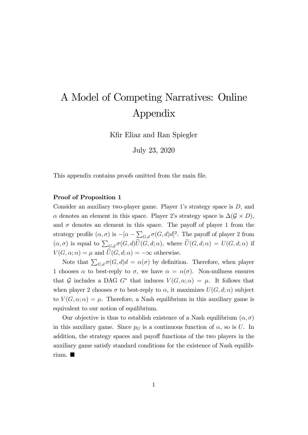## A Model of Competing Narratives: Online Appendix

Kfir Eliaz and Ran Spiegler

July 23, 2020

This appendix contains proofs omitted from the main file.

## Proof of Proposition 1

Consider an auxiliary two-player game. Player 1's strategy space is  $D$ , and  $\alpha$  denotes an element in this space. Player 2's strategy space is  $\Delta(\mathcal{G} \times D)$ , and  $\sigma$  denotes an element in this space. The payoff of player 1 from the strategy profile  $(\alpha, \sigma)$  is  $-[\alpha - \sum_{G,d} \sigma(G, d)d]^2$ . The payoff of player 2 from  $(\alpha, \sigma)$  is equal to  $\sum_{G,d} \sigma(G, d) \widetilde{U}(G, d; \alpha)$ , where  $\widetilde{U}(G, d; \alpha) = U(G, d; \alpha)$  if  $V(G, \alpha; \alpha) = \mu$  and  $\widetilde{U}(G, d; \alpha) = -\infty$  otherwise.

Note that  $\sum_{G,d} \sigma(G, d)d = \alpha(\sigma)$  by definition. Therefore, when player 1 chooses  $\alpha$  to best-reply to  $\sigma$ , we have  $\alpha = \alpha(\sigma)$ . Non-nullness ensures that G includes a DAG  $G^*$  that induces  $V(G, \alpha; \alpha) = \mu$ . It follows that when player 2 chooses  $\sigma$  to best-reply to  $\alpha$ , it maximizes  $U(G, d; \alpha)$  subject to  $V(G, \alpha; \alpha) = \mu$ . Therefore, a Nash equilibrium in this auxiliary game is equivalent to our notion of equilibrium.

Our objective is thus to establish existence of a Nash equilibrium  $(\alpha, \sigma)$ in this auxiliary game. Since  $p<sub>G</sub>$  is a continuous function of  $\alpha$ , so is U. In addition, the strategy spaces and payoff functions of the two players in the auxiliary game satisfy standard conditions for the existence of Nash equilibrium.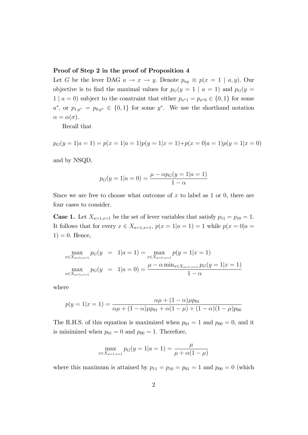## Proof of Step 2 in the proof of Proposition 4

Let G be the lever DAG  $a \to x \to y$ . Denote  $p_{ay} \equiv p(x = 1 | a, y)$ . Our objective is to find the maximal values for  $p_G(y = 1 | a = 1)$  and  $p_G(y = 1 | a = 1)$  $1 | a = 0$ ) subject to the constraint that either  $p_{a*1} = p_{a*0} \in \{0, 1\}$  for some  $a^*$ , or  $p_{1,y^*} = p_{0,y^*} \in \{0,1\}$  for some  $y^*$ . We use the shorthand notation  $\alpha = \alpha(\sigma).$ 

Recall that

 $p_G(y = 1|a = 1) = p(x = 1|a = 1)p(y = 1|x = 1)+p(x = 0|a = 1)p(y = 1|x = 0)$ 

and by NSQD,

$$
p_G(y = 1 | a = 0) = \frac{\mu - \alpha p_G(y = 1 | a = 1)}{1 - \alpha}
$$

Since we are free to choose what outcome of  $x$  to label as 1 or 0, there are four cases to consider.

**Case 1.** Let  $X_{a=1,x=1}$  be the set of lever variables that satisfy  $p_{11} = p_{10} = 1$ . It follows that for every  $x \in X_{a=1,x=1}$ ,  $p(x = 1|a = 1) = 1$  while  $p(x = 0|a = 1)$  $1) = 0.$  Hence,

$$
\max_{x \in X_{a=1,x=1}} p_G(y) = 1|a=1) = \max_{x \in X_{a=1,x=1}} p(y) = 1|x=1)
$$
  

$$
\max_{x \in X_{a=1,x=1}} p_G(y) = 1|a=0) = \frac{\mu - \alpha \min_{x \in X_{a=1,x=1}} p_G(y) = 1|x=1)}{1 - \alpha}
$$

where

$$
p(y = 1|x = 1) = \frac{\alpha\mu + (1 - \alpha)\mu p_{01}}{\alpha\mu + (1 - \alpha)\mu p_{01} + \alpha(1 - \mu) + (1 - \alpha)(1 - \mu)p_{00}}
$$

The R.H.S. of this equation is maximized when  $p_{01} = 1$  and  $p_{00} = 0$ , and it is minimized when  $p_{01} = 0$  and  $p_{00} = 1$ . Therefore,

$$
\max_{x \in X_{a=1,x=1}} p_G(y=1|a=1) = \frac{\mu}{\mu + \alpha(1-\mu)}
$$

where this maximum is attained by  $p_{11} = p_{10} = p_{01} = 1$  and  $p_{00} = 0$  (which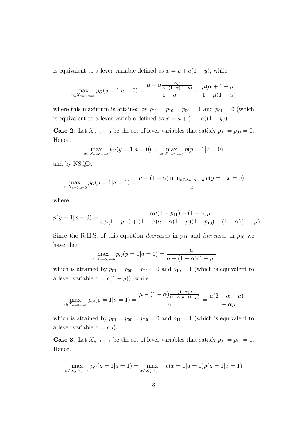is equivalent to a lever variable defined as  $x = y + a(1 - y)$ , while

$$
\max_{x \in X_{a=1, x=1}} p_G(y=1|a=0) = \frac{\mu - \alpha \frac{\alpha \mu}{\alpha + (1-\alpha)(1-\mu)}}{1-\alpha} = \frac{\mu(\alpha+1-\mu)}{1-\mu(1-\alpha)}
$$

where this maximum is attained by  $p_{11} = p_{10} = p_{00} = 1$  and  $p_{01} = 0$  (which is equivalent to a lever variable defined as  $x = a + (1 - a)(1 - y)$ .

**Case 2.** Let  $X_{a=0,x=0}$  be the set of lever variables that satisfy  $p_{01} = p_{00} = 0$ . Hence,

$$
\max_{x \in X_{a=0, x=0}} p_G(y=1|a=0) = \max_{x \in X_{a=0, x=0}} p(y=1|x=0)
$$

and by NSQD,

$$
\max_{x \in X_{a=0, x=0}} p_G(y=1|a=1) = \frac{\mu - (1-\alpha) \min_{x \in X_{a=0, x=0}} p(y=1|x=0)}{\alpha}
$$

where

$$
p(y = 1|x = 0) = \frac{\alpha\mu(1 - p_{11}) + (1 - \alpha)\mu}{\alpha\mu(1 - p_{11}) + (1 - \alpha)\mu + \alpha(1 - \mu)(1 - p_{10}) + (1 - \alpha)(1 - \mu)}
$$

Since the R.H.S. of this equation *decreases* in  $p_{11}$  and *increases* in  $p_{10}$  we have that

$$
\max_{x \in X_{a=0, x=0}} p_G(y=1|a=0) = \frac{\mu}{\mu + (1-\alpha)(1-\mu)}
$$

which is attained by  $p_{01} = p_{00} = p_{11} = 0$  and  $p_{10} = 1$  (which is equivalent to a lever variable  $x = a(1 - y)$ , while

$$
\max_{x \in X_{a=0, x=0}} p_G(y=1|a=1) = \frac{\mu - (1-\alpha)\frac{(1-\alpha)\mu}{(1-\alpha)\mu + (1-\mu)}}{\alpha} = \frac{\mu(2-\alpha-\mu)}{1-\alpha\mu}
$$

which is attained by  $p_{01} = p_{00} = p_{10} = 0$  and  $p_{11} = 1$  (which is equivalent to a lever variable  $x = ay$ ).

**Case 3.** Let  $X_{y=1,x=1}$  be the set of lever variables that satisfy  $p_{01} = p_{11} = 1$ . Hence,

$$
\max_{x \in X_{y=1,x=1}} p_G(y=1|a=1) = \max_{x \in X_{y=1,x=1}} p(x=1|a=1)p(y=1|x=1)
$$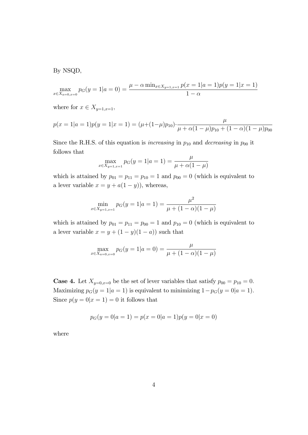By NSQD,

$$
\max_{x \in X_{a=0, x=0}} p_G(y=1|a=0) = \frac{\mu - \alpha \min_{x \in X_{y=1, x=1}} p(x=1|a=1)p(y=1|x=1)}{1-\alpha}
$$

## where for  $x \in X_{y=1,x=1}$ ;

$$
p(x = 1|a = 1)p(y = 1|x = 1) = (\mu + (1 - \mu)p_{10}) \cdot \frac{\mu}{\mu + \alpha(1 - \mu)p_{10} + (1 - \alpha)(1 - \mu)p_{00}}
$$

Since the R.H.S. of this equation is *increasing* in  $p_{10}$  and *decreasing* in  $p_{00}$  it follows that

$$
\max_{x \in X_{y=1,x=1}} p_G(y=1|a=1) = \frac{\mu}{\mu + \alpha(1-\mu)}
$$

which is attained by  $p_{01} = p_{11} = p_{10} = 1$  and  $p_{00} = 0$  (which is equivalent to a lever variable  $x = y + a(1 - y)$ , whereas,

$$
\min_{x \in X_{y=1,x=1}} p_G(y=1|a=1) = \frac{\mu^2}{\mu + (1-\alpha)(1-\mu)}
$$

which is attained by  $p_{01} = p_{11} = p_{00} = 1$  and  $p_{10} = 0$  (which is equivalent to a lever variable  $x = y + (1 - y)(1 - a)$  such that

$$
\max_{x \in X_{a=0, x=0}} p_G(y=1|a=0) = \frac{\mu}{\mu + (1-\alpha)(1-\mu)}
$$

**Case 4.** Let  $X_{y=0,x=0}$  be the set of lever variables that satisfy  $p_{00} = p_{10} = 0$ . Maximizing  $p_G(y = 1|a = 1)$  is equivalent to minimizing  $1-p_G(y = 0|a = 1)$ . Since  $p(y = 0|x = 1) = 0$  it follows that

$$
p_G(y = 0|a = 1) = p(x = 0|a = 1)p(y = 0|x = 0)
$$

where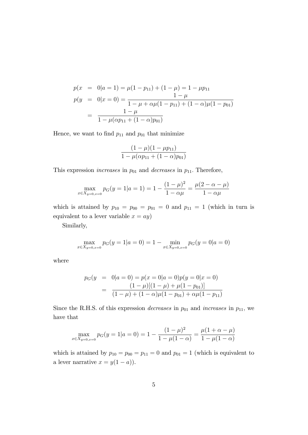$$
p(x = 0|a = 1) = \mu(1 - p_{11}) + (1 - \mu) = 1 - \mu p_{11}
$$
  
\n
$$
p(y = 0|x = 0) = \frac{1 - \mu}{1 - \mu + \alpha \mu (1 - p_{11}) + (1 - \alpha) \mu (1 - p_{01})}
$$
  
\n
$$
= \frac{1 - \mu}{1 - \mu (\alpha p_{11} + (1 - \alpha) p_{01})}
$$

Hence, we want to find  $p_{11}$  and  $p_{01}$  that minimize

$$
\frac{(1-\mu)(1-\mu p_{11})}{1-\mu(\alpha p_{11}+(1-\alpha)p_{01})}
$$

This expression *increases* in  $p_{01}$  and *decreases* in  $p_{11}$ . Therefore,

$$
\max_{x \in X_{y=0, x=0}} p_G(y=1|a=1) = 1 - \frac{(1-\mu)^2}{1-\alpha\mu} = \frac{\mu(2-\alpha-\mu)}{1-\alpha\mu}
$$

which is attained by  $p_{10} = p_{00} = p_{01} = 0$  and  $p_{11} = 1$  (which in turn is equivalent to a lever variable  $x = ay$ )

Similarly,

$$
\max_{x \in X_{y=0, x=0}} p_G(y=1|a=0) = 1 - \min_{x \in X_{y=0, x=0}} p_G(y=0|a=0)
$$

where

$$
p_G(y = 0|a = 0) = p(x = 0|a = 0)p(y = 0|x = 0)
$$

$$
= \frac{(1 - \mu)[(1 - \mu) + \mu(1 - p_{01})]}{(1 - \mu) + (1 - \alpha)\mu(1 - p_{01}) + \alpha\mu(1 - p_{11})}
$$

Since the R.H.S. of this expression *decreases* in  $p_{01}$  and *increases* in  $p_{11}$ , we have that

$$
\max_{x \in X_{y=0, x=0}} p_G(y=1|a=0) = 1 - \frac{(1-\mu)^2}{1-\mu(1-\alpha)} = \frac{\mu(1+\alpha-\mu)}{1-\mu(1-\alpha)}
$$

which is attained by  $p_{10} = p_{00} = p_{11} = 0$  and  $p_{01} = 1$  (which is equivalent to a lever narrative  $x = y(1 - a)$ .